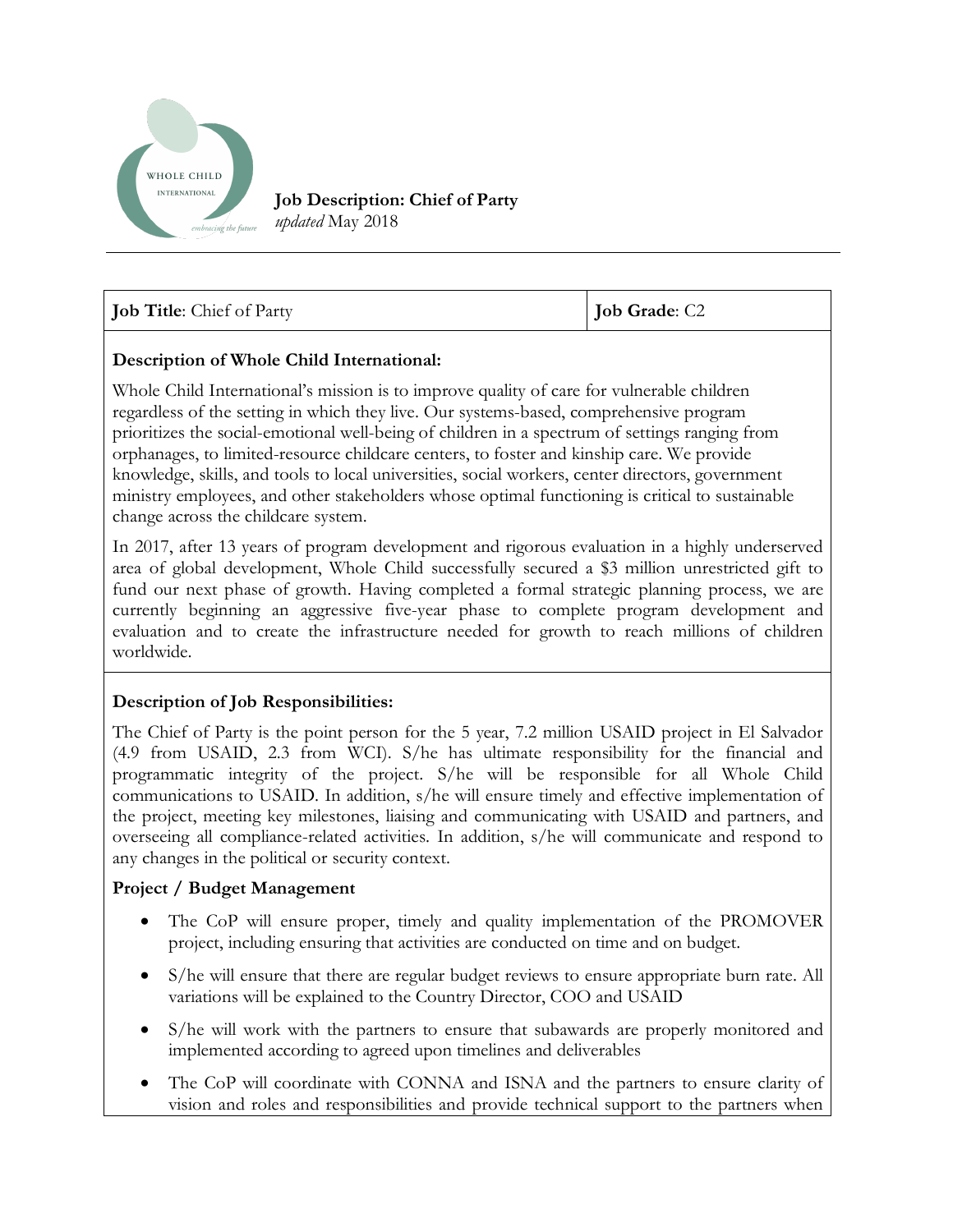

**Job Description: Chief of Party** *updated* May 2018

| <b>Job Title:</b> Chief of Party | <b>Job Grade: C2</b> |
|----------------------------------|----------------------|
|----------------------------------|----------------------|

### **Description of Whole Child International:**

Whole Child International's mission is to improve quality of care for vulnerable children regardless of the setting in which they live. Our systems-based, comprehensive program prioritizes the social-emotional well-being of children in a spectrum of settings ranging from orphanages, to limited-resource childcare centers, to foster and kinship care. We provide knowledge, skills, and tools to local universities, social workers, center directors, government ministry employees, and other stakeholders whose optimal functioning is critical to sustainable change across the childcare system.

In 2017, after 13 years of program development and rigorous evaluation in a highly underserved area of global development, Whole Child successfully secured a \$3 million unrestricted gift to fund our next phase of growth. Having completed a formal strategic planning process, we are currently beginning an aggressive five-year phase to complete program development and evaluation and to create the infrastructure needed for growth to reach millions of children worldwide.

### **Description of Job Responsibilities:**

The Chief of Party is the point person for the 5 year, 7.2 million USAID project in El Salvador (4.9 from USAID, 2.3 from WCI). S/he has ultimate responsibility for the financial and programmatic integrity of the project. S/he will be responsible for all Whole Child communications to USAID. In addition, s/he will ensure timely and effective implementation of the project, meeting key milestones, liaising and communicating with USAID and partners, and overseeing all compliance-related activities. In addition, s/he will communicate and respond to any changes in the political or security context.

### **Project / Budget Management**

- The CoP will ensure proper, timely and quality implementation of the PROMOVER project, including ensuring that activities are conducted on time and on budget.
- S/he will ensure that there are regular budget reviews to ensure appropriate burn rate. All variations will be explained to the Country Director, COO and USAID
- S/he will work with the partners to ensure that subawards are properly monitored and implemented according to agreed upon timelines and deliverables
- The CoP will coordinate with CONNA and ISNA and the partners to ensure clarity of vision and roles and responsibilities and provide technical support to the partners when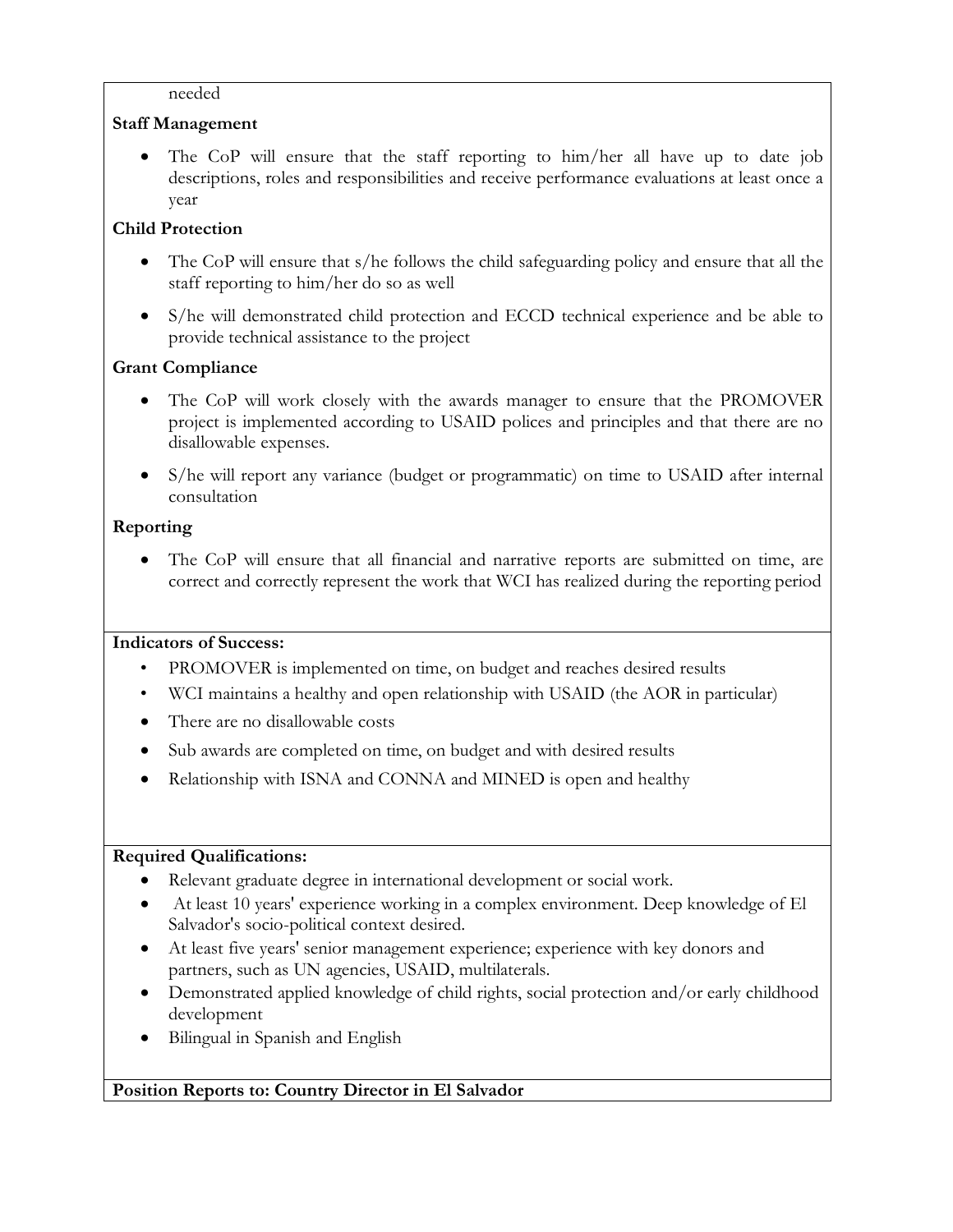#### needed

## **Staff Management**

The CoP will ensure that the staff reporting to him/her all have up to date job descriptions, roles and responsibilities and receive performance evaluations at least once a year

## **Child Protection**

- The CoP will ensure that s/he follows the child safeguarding policy and ensure that all the staff reporting to him/her do so as well
- S/he will demonstrated child protection and ECCD technical experience and be able to provide technical assistance to the project

# **Grant Compliance**

- The CoP will work closely with the awards manager to ensure that the PROMOVER project is implemented according to USAID polices and principles and that there are no disallowable expenses.
- S/he will report any variance (budget or programmatic) on time to USAID after internal consultation

# **Reporting**

• The CoP will ensure that all financial and narrative reports are submitted on time, are correct and correctly represent the work that WCI has realized during the reporting period

## **Indicators of Success:**

- PROMOVER is implemented on time, on budget and reaches desired results
- WCI maintains a healthy and open relationship with USAID (the AOR in particular)
- There are no disallowable costs
- Sub awards are completed on time, on budget and with desired results
- Relationship with ISNA and CONNA and MINED is open and healthy

## **Required Qualifications:**

- Relevant graduate degree in international development or social work.
- At least 10 years' experience working in a complex environment. Deep knowledge of El Salvador's socio-political context desired.
- At least five years' senior management experience; experience with key donors and partners, such as UN agencies, USAID, multilaterals.
- Demonstrated applied knowledge of child rights, social protection and/or early childhood development
- Bilingual in Spanish and English

## **Position Reports to: Country Director in El Salvador**